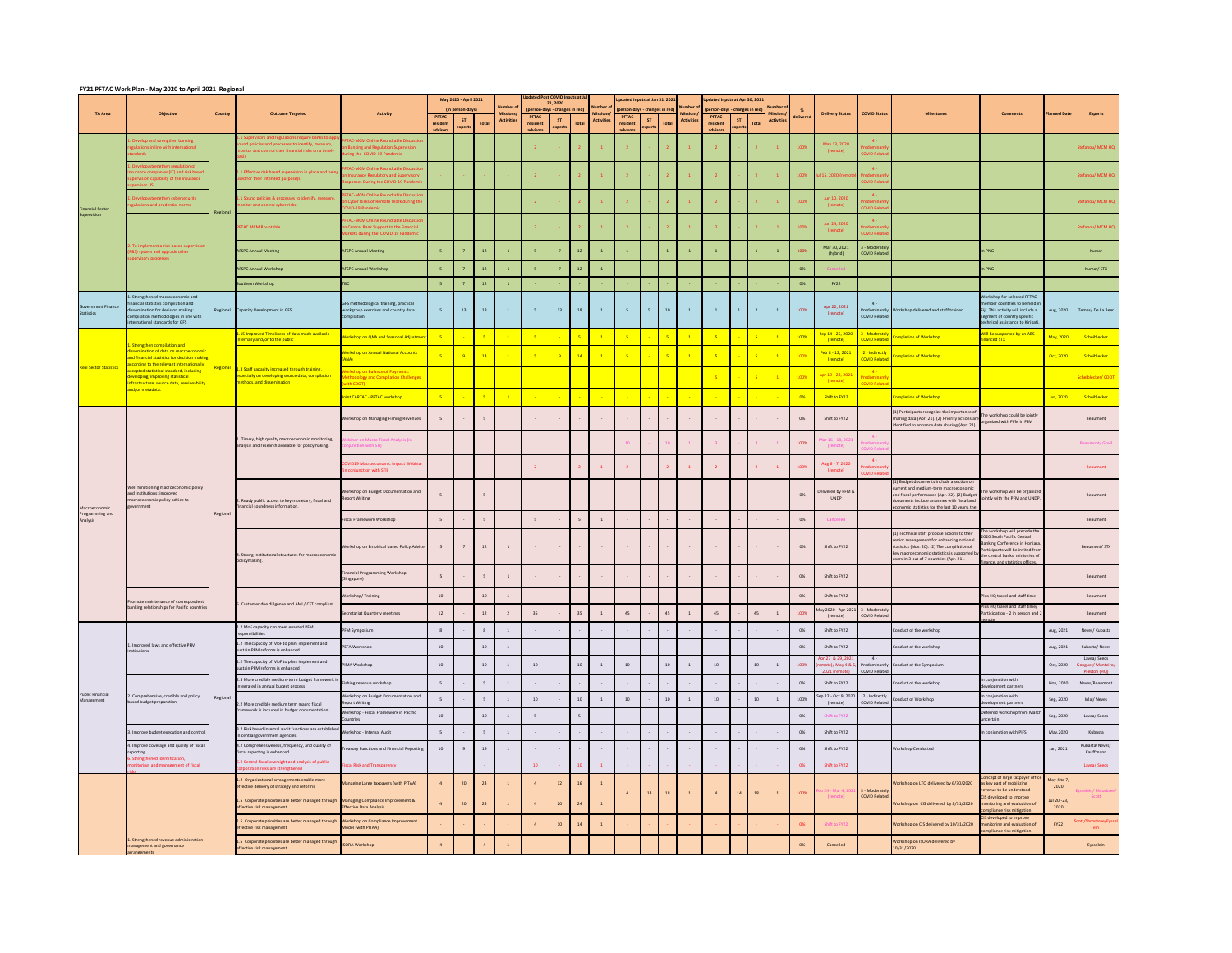## **FY21 PFTAC Work Plan - May 2020 to April 2021 Regional**

|                                         | $\frac{1}{2}$ . The work from way 2020 to April 2021 hegional                                                                                                                                |          |                                                                                                                                                                                                              |                                                                                                                           |                                     | May 2020 - April 2021<br>(in person-days) |                 | Number                               | <b>Updated Post COVID Inputs at Jul</b><br>(person-days - changes in red) | 31, 2020             |                | Number of         | Updated Inputs at Jan 31, 2021<br>(person-days - changes in red) |                 |       | Number            | Updated Inputs at Apr 30, 2021<br>(person-days - changes in red) |                |                | Number                         |           |                                                             |                                                |                                                                                                                                                                                                                                   |                                                                                                                                                                                                            |                      |                                    |
|-----------------------------------------|----------------------------------------------------------------------------------------------------------------------------------------------------------------------------------------------|----------|--------------------------------------------------------------------------------------------------------------------------------------------------------------------------------------------------------------|---------------------------------------------------------------------------------------------------------------------------|-------------------------------------|-------------------------------------------|-----------------|--------------------------------------|---------------------------------------------------------------------------|----------------------|----------------|-------------------|------------------------------------------------------------------|-----------------|-------|-------------------|------------------------------------------------------------------|----------------|----------------|--------------------------------|-----------|-------------------------------------------------------------|------------------------------------------------|-----------------------------------------------------------------------------------------------------------------------------------------------------------------------------------------------------------------------------------|------------------------------------------------------------------------------------------------------------------------------------------------------------------------------------------------------------|----------------------|------------------------------------|
| <b>TA Area</b>                          | <b>Objective</b>                                                                                                                                                                             | Country  | <b>Outcome Targeted</b>                                                                                                                                                                                      | <b>Activity</b>                                                                                                           | <b>PFTAC</b><br>residen<br>advisors | <b>ST</b><br>experts                      | <b>Total</b>    | <b>Missions</b><br><b>Activities</b> | <b>PFTAC</b><br>resident<br>advisors                                      | <b>ST</b><br>experts | <b>Total</b>   | <b>Activities</b> | <b>PFTAC</b><br>resident<br>advisors                             | ST<br>expert:   | Total | <b>Activities</b> | <b>PFTAC</b><br>resident<br>advisors                             | ST<br>experts  | <b>Total</b>   | Missions/<br><b>Activities</b> | delivered | <b>Delivery Status</b>                                      | <b>COVID Status</b>                            | <b>Milestones</b>                                                                                                                                                                                                                 | <b>Comments</b>                                                                                                                                                                                            | <b>Planned Date</b>  | <b>Experts</b>                     |
|                                         | Develop and strengthen banking<br>ations in line with international<br>ndards                                                                                                                |          | 1.1 Supervisors and regulations require banks to appl<br>sound policies and processes to identify, measure,<br>monitor and control their financial risks on a timely                                         | FTAC-MCM Online Roundtable Discussio<br>on Banking and Regulation Supervision<br>uring the COVID-19 Pandemic              |                                     |                                           |                 |                                      |                                                                           |                      |                |                   |                                                                  |                 |       |                   |                                                                  |                |                |                                | 100%      | May 13, 2020<br>(remote)                                    | $4 -$<br><b>COVID Relate</b>                   |                                                                                                                                                                                                                                   |                                                                                                                                                                                                            |                      | Stefanou/ MCM HQ                   |
|                                         | lop/strengthen regulation of<br>surance companies (IC) and risk based<br>apervision capability of the insurance<br>ervisor (IS) l                                                            |          | 1.1 Effective risk based supervision in place and beir<br>used for their intended purpose(s)                                                                                                                 | PFTAC-MCM Online Roundtable Discussic<br>on Insurance Regulatory and Supervisory<br>Responses During the COVID-19 Pandemi |                                     |                                           |                 |                                      |                                                                           |                      |                |                   |                                                                  |                 |       |                   |                                                                  |                |                |                                | 100%      | l 15, 2020 (rer                                             | OVID Relate                                    |                                                                                                                                                                                                                                   |                                                                                                                                                                                                            |                      | Stefanou/ MCM HQ                   |
| <b>Financial Sector</b>                 | Develop/strengthen cybersecurity<br>ulations and prudential norms                                                                                                                            | Regional | 1.1 Sound policies & processes to identify, measure<br>nonitor and control cyber risks                                                                                                                       | PFTAC-MCM Online Roundtable Discussic<br>on Cyber Risks of Remote Work during the<br>COVID-19 Pandemic                    |                                     |                                           |                 |                                      |                                                                           |                      |                |                   |                                                                  |                 |       |                   |                                                                  |                |                |                                | 100%      | Jun 10, 2020<br>(remote)                                    | $4 -$<br>OVID Rela                             |                                                                                                                                                                                                                                   |                                                                                                                                                                                                            |                      | Stefanou/ MCM HQ                   |
| Supervision                             |                                                                                                                                                                                              |          | <b>PFTAC MCM Rountable</b>                                                                                                                                                                                   | PFTAC-MCM Online Roundtable Discussio<br>on Central Bank Support to the Financial<br>Markets during the COVID-19 Pandemic |                                     |                                           |                 |                                      |                                                                           |                      |                |                   |                                                                  |                 |       |                   |                                                                  |                |                |                                | 100%      | Jun 24, 2020<br>(remote)                                    | $4 -$<br><b>COVID Relat</b>                    |                                                                                                                                                                                                                                   |                                                                                                                                                                                                            |                      | Stefanou/ MCM HQ                   |
|                                         | 2. To implement a risk-based supervision<br>RBS) system and upgrade other<br>upervisory processes                                                                                            |          | <b>AFSPC Annual Meeting</b>                                                                                                                                                                                  | <b>AFSPC Annual Meeting</b>                                                                                               |                                     |                                           | 12              |                                      |                                                                           |                      | 12             |                   |                                                                  |                 |       |                   |                                                                  |                |                |                                | 100%      | Mar 30, 2021<br>(hybrid)                                    | 3 - Moderately<br><b>COVID Related</b>         |                                                                                                                                                                                                                                   | In PNG                                                                                                                                                                                                     |                      | Kumar                              |
|                                         |                                                                                                                                                                                              |          | <b>AFSPC Annual Workshop</b>                                                                                                                                                                                 | <b>AFSPC Annual Workshop</b>                                                                                              |                                     |                                           | 12              |                                      |                                                                           |                      | 12             |                   |                                                                  |                 |       |                   |                                                                  |                |                |                                | 0%        | <u>ancelli</u>                                              |                                                |                                                                                                                                                                                                                                   | In PNG                                                                                                                                                                                                     |                      | Kumar/STX                          |
|                                         |                                                                                                                                                                                              |          | Southern Workshop                                                                                                                                                                                            |                                                                                                                           |                                     |                                           | 12              |                                      |                                                                           |                      |                |                   |                                                                  |                 |       |                   |                                                                  |                |                |                                | 0%        | <b>FY22</b>                                                 |                                                |                                                                                                                                                                                                                                   |                                                                                                                                                                                                            |                      |                                    |
| <b>Government Finance</b><br>Statistics | 1. Strengthened macroeconomic and<br>financial statistics compilation and<br>lissemination for decision making:<br>compilation methodologies in line with<br>international standards for GFS |          | Regional Capacity Development in GFS.                                                                                                                                                                        | GFS methodological training, practical<br>workgroup exercises and country data<br>compilation.                            |                                     | 13                                        | 18              |                                      |                                                                           | 13                   | 18             |                   | $-5$                                                             | 5 <sup>7</sup>  | 10    |                   |                                                                  | $\overline{1}$ | $\overline{2}$ | $\mathbf{1}$                   | 100%      | Apr 22, 2021<br>(remote)                                    | $4 -$<br><b>COVID Related</b>                  | Predominantly Workshop delivered and staff trained.                                                                                                                                                                               | Workshop for selected PFTAC<br>member countries to be held in<br>Fiji. This activity will include a<br>segment of country specific<br>technical assistance to Kiribati.                                    |                      | Aug, 2020 Temes/De La Beer         |
|                                         |                                                                                                                                                                                              |          | 1.15 Improved Timeliness of data made available<br>internally and/or to the public                                                                                                                           | Workshop on QNA and Seasonal Adjustment                                                                                   |                                     |                                           |                 | $\overline{1}$                       |                                                                           |                      |                |                   |                                                                  |                 | $-5$  |                   |                                                                  |                |                |                                | 100%      | Sep 14 - 25, 2020<br>(remote)                               | 3 - Moderately<br><b>COVID Related</b>         | mpletion of Workshop                                                                                                                                                                                                              | Will be supported by an ABS<br>financed STX                                                                                                                                                                | May, 2020            | Scheiblecker                       |
| <b>Real Sector Statistics</b>           | 1. Strengthen compilation and<br>issemination of data on macroeconomic<br>and financial statistics for decision makir<br>according to the relevant internationally                           |          |                                                                                                                                                                                                              | <b>Workshop on Annual National Accounts</b>                                                                               |                                     | $-9$                                      | $\overline{14}$ |                                      |                                                                           | $-9$                 | 14             |                   |                                                                  | $\sim 10^{-10}$ | $-5$  |                   |                                                                  |                |                | $\boxed{1}$                    | 100%      | Feb 8 - 12, 2021<br>(remote)                                | $\vert$ 2 - Indirectly<br><b>COVID Related</b> | ompletion of Workshop                                                                                                                                                                                                             |                                                                                                                                                                                                            | Oct, 2020            | Scheiblecker                       |
|                                         | accepted statistical standard, including<br>developing/improving statistical<br>infrastructure, source data, serviceability                                                                  | Regional | 1.3 Staff capacity increased through training,<br>especially on developing source data, compilation<br>methods, and dissemination                                                                            | <b>Vorkshop on Balance of Payments:</b><br>Methodology and Compilation Challenges                                         |                                     |                                           |                 |                                      |                                                                           |                      |                |                   |                                                                  |                 |       |                   |                                                                  |                |                | $\mathbf{1}$                   | 100%      | Apr 19 - 23, 2021<br>(remote)                               | $-4 -$<br>redominar                            |                                                                                                                                                                                                                                   |                                                                                                                                                                                                            |                      | Scheiblecker/CDOT                  |
|                                         | and/or metadata.                                                                                                                                                                             |          |                                                                                                                                                                                                              | with CDOT)<br>Joint CARTAC - PFTAC workshop                                                                               |                                     | $\sim$ $-$                                | $-5$            |                                      |                                                                           |                      |                |                   |                                                                  | $\sim 100$      |       |                   |                                                                  |                |                |                                | $0\%$     | Shift to FY22                                               | OVID Relate                                    | <b>Completion of Workshop</b>                                                                                                                                                                                                     |                                                                                                                                                                                                            | Jun, 2020            | Scheiblecker                       |
|                                         |                                                                                                                                                                                              |          |                                                                                                                                                                                                              | Workshop on Managing Fishing Revenues                                                                                     |                                     |                                           |                 |                                      |                                                                           |                      |                |                   |                                                                  | $\sim$ $ \sim$  |       |                   |                                                                  |                |                |                                | 0%        | Shift to FY22                                               |                                                | (1) Participants recognize the importance of<br>sharing data (Apr. 21). (2) Priority actions a<br>identified to enhance data sharing (Apr. 21)                                                                                    | The workshop could be jointly<br>organized with PFM in FSM                                                                                                                                                 |                      | Beaumont                           |
|                                         |                                                                                                                                                                                              |          | 1. Timely, high quality macroeconomic monitoring,<br>analysis and research available for policymaking.                                                                                                       | binar on Macro-Fiscal Analysis (in<br>njunction with STI)                                                                 |                                     |                                           |                 |                                      |                                                                           |                      |                |                   |                                                                  |                 |       |                   |                                                                  |                |                |                                | 100%      | lar 16 - 18, 202:<br>(remote)                               | $-4-$<br><b>OVID Relat</b>                     |                                                                                                                                                                                                                                   |                                                                                                                                                                                                            |                      | <b>Beaumont/ Govil</b>             |
|                                         |                                                                                                                                                                                              |          |                                                                                                                                                                                                              | OVID19 Macroeconomic Impact Webinar<br>(in conjunction with STI)                                                          |                                     |                                           |                 |                                      |                                                                           |                      |                |                   |                                                                  |                 |       |                   |                                                                  |                |                |                                | 100%      | Aug 6 - 7, 2020<br>(remote)                                 | $4 -$<br>redominaı<br><b>COVID Related</b>     |                                                                                                                                                                                                                                   |                                                                                                                                                                                                            |                      | Beaumont                           |
| Macroeconomic                           | Well functioning macroeconomic policy<br>and institutions: improved<br>macroeconomic policy advice to<br>government                                                                          |          | 2. Ready public access to key monetary, fiscal and<br>financial soundness information.                                                                                                                       | Workshop on Budget Documentation and<br><b>Report Writing</b>                                                             |                                     | $\sim$ $-$                                | 5 <sup>5</sup>  |                                      | <b>Contract Contract</b>                                                  | $\sim 100$           | $\sim$ $ \sim$ |                   | $\sim$ $ \sim$                                                   | $\sim 10^{-10}$ |       |                   |                                                                  | $\sim$ $-$     |                |                                | 0%        | Delivered by PFM &<br><b>UNDP</b>                           |                                                | (1) Budget documents include a section on<br>current and medium-term macroeconomic<br>and fiscal performance (Apr. 22). (2) Budge<br>documents include an annex with fiscal and<br>conomic statistics for the last 10 years, the  | The workshop will be organized<br>jointly with the PFM and UNDP.                                                                                                                                           |                      | Beaumont                           |
| Programming and<br>Analysis             |                                                                                                                                                                                              | Regional |                                                                                                                                                                                                              | Fiscal Framework Workshop                                                                                                 |                                     |                                           |                 |                                      |                                                                           |                      |                |                   |                                                                  |                 |       |                   |                                                                  |                |                |                                | 0%        | Cancelled                                                   |                                                |                                                                                                                                                                                                                                   |                                                                                                                                                                                                            |                      | Beaumont                           |
|                                         |                                                                                                                                                                                              |          | 4. Strong institutional structures for macroeconomic<br>policymaking.                                                                                                                                        | Workshop on Empirical based Policy Advice                                                                                 |                                     |                                           | 12              |                                      |                                                                           |                      |                |                   | $\sim$ $ \sim$                                                   | $\sim$ $ \sim$  |       | $\sim$ $ \sim$    |                                                                  | $\sim$ $-$     |                |                                | 0%        | Shift to FY22                                               |                                                | (1) Technical staff propose actions to their<br>senior management for enhancing national<br>statistics (Nov. 20). (2) The compilation of<br>key macroeconomic statistics is supported<br>users in 3 out of 7 countries (Apr. 21). | The workshop will precede the<br>2020 South Pacific Central<br>Banking Conference in Honiara.<br>Participants will be invited from<br>the central banks, ministries of<br>finance, and statistics offices. |                      | Beaumont/ STX                      |
|                                         |                                                                                                                                                                                              |          |                                                                                                                                                                                                              | Financial Programming Workshop<br>(Singapore)                                                                             |                                     |                                           |                 |                                      |                                                                           |                      |                |                   |                                                                  | $\sim$ $-$      |       |                   |                                                                  |                |                |                                | 0%        | Shift to FY22                                               |                                                |                                                                                                                                                                                                                                   |                                                                                                                                                                                                            |                      | Beaumont                           |
|                                         | Promote maintenance of corresponden                                                                                                                                                          |          |                                                                                                                                                                                                              | Workshop/Training                                                                                                         | 10 <sup>1</sup>                     |                                           | 10              |                                      |                                                                           |                      |                |                   |                                                                  |                 |       |                   |                                                                  |                |                |                                | 0%        | Shift to FY22                                               |                                                |                                                                                                                                                                                                                                   | Plus HQ travel and staff time                                                                                                                                                                              |                      | Beaumont                           |
|                                         | banking relationships for Pacific countries                                                                                                                                                  |          | 5. Customer due diligence and AML/ CFT compliant                                                                                                                                                             | Secretariat Quarterly meetings                                                                                            | 12                                  |                                           | 12              |                                      |                                                                           |                      | 35             |                   | 45                                                               |                 | 45    |                   | -45                                                              |                | 45             |                                | 100%      | May 2020 - Apr 2021 $\overline{3}$ - Moderately<br>(remote) | <b>COVID Related</b>                           |                                                                                                                                                                                                                                   | Plus HQ travel and staff time/<br>Participation - 2 in person and 2                                                                                                                                        |                      | Beaumont                           |
|                                         |                                                                                                                                                                                              |          | 1.2 MoF capacity can meet enacted PFM<br>responsibilities                                                                                                                                                    | PFM Symposium                                                                                                             |                                     |                                           |                 |                                      |                                                                           |                      |                |                   |                                                                  |                 |       |                   |                                                                  |                |                |                                | 0%        | Shift to FY22                                               |                                                | Conduct of the workshop                                                                                                                                                                                                           |                                                                                                                                                                                                            | Aug, 2021            | Neves/ Kubasta                     |
|                                         | 1. Improved laws and effective PFM<br>nstitutions                                                                                                                                            |          | 1.2 The capacity of MoF to plan, implement and<br>sustain PFM reforms is enhanced                                                                                                                            | PEFA Workshop                                                                                                             | 10                                  |                                           | 10              |                                      |                                                                           |                      |                |                   |                                                                  | $\sim$ $ \sim$  |       |                   |                                                                  |                |                |                                | 0%        | Shift to FY22                                               |                                                | Conduct of the workshop                                                                                                                                                                                                           |                                                                                                                                                                                                            | Aug, 2021            | Kubasta/Neves                      |
|                                         |                                                                                                                                                                                              |          | 1.2 The capacity of MoF to plan, implement and<br>sustain PFM reforms is enhanced                                                                                                                            | PIMA Workshop                                                                                                             | 10                                  |                                           | 10              |                                      | 10                                                                        |                      | 10             |                   | 10                                                               |                 |       |                   | 10                                                               |                | -10            |                                | 100%      | Apr 27 & 29, 2021<br>emote)/ May 4 & 6<br>2021 (remote)     | $4 -$                                          | Predominantly Conduct of the Symposium                                                                                                                                                                                            |                                                                                                                                                                                                            | Oct, 2020            | Lavea/ Seeds<br>Gonguet/ Monteiro, |
|                                         |                                                                                                                                                                                              |          | 2.3 More credible medium-term budget framework is<br>integrated in annual budget process                                                                                                                     | Fishing revenue workshop                                                                                                  |                                     |                                           |                 |                                      |                                                                           |                      |                |                   |                                                                  | $\sim$ $-$      |       |                   |                                                                  |                |                |                                | 0%        | Shift to FY22                                               | <b>COVID Related</b>                           | Conduct of the workshop                                                                                                                                                                                                           | In conjunction with<br>development partners                                                                                                                                                                | Nov, 2020            | Preston (HQ)<br>Neves/Beaumont     |
| <b>Public Financial</b><br>Management   | 2. Comprehensive, credible and policy<br>based budget preparation                                                                                                                            | Regional | 2.2 More credible medium term macro fiscal                                                                                                                                                                   | Workshop on Budget Documentation and<br><b>Report Writing</b>                                                             |                                     |                                           |                 |                                      | 10                                                                        |                      | 10             |                   | 10                                                               |                 | 10    |                   | 10                                                               |                | 10             |                                | 100%      | Sep 22 - Oct 9, 2020<br>(remote)                            | 2 - Indirectly<br><b>COVID Related</b>         | Conduct of Workshop                                                                                                                                                                                                               | In conjunction with<br>development partners                                                                                                                                                                | Sep, 2020            | Iulai/ Neves                       |
|                                         |                                                                                                                                                                                              |          | framework is included in budget documentation                                                                                                                                                                | Workshop - Fiscal Framework in Pacific<br>Countries                                                                       | 10                                  |                                           | 10              |                                      |                                                                           |                      |                |                   |                                                                  |                 |       |                   |                                                                  |                |                |                                | 0%        | Shift to FY22                                               |                                                |                                                                                                                                                                                                                                   | Deferred workshop from Marcl<br>uncertain                                                                                                                                                                  | Sep, 2020            | Lavea/ Seeds                       |
|                                         | . Improve budget execution and control                                                                                                                                                       |          | 3.2 Risk based internal audit functions are establishe<br>in central government agencies                                                                                                                     | Workshop - Internal Audit                                                                                                 |                                     |                                           |                 |                                      |                                                                           |                      |                |                   |                                                                  |                 |       |                   |                                                                  |                |                |                                | 0%        | Shift to FY22                                               |                                                |                                                                                                                                                                                                                                   | In conjunction with PIFS                                                                                                                                                                                   | May, 2020            | Kubasta                            |
|                                         | . Improve coverage and quality of fiscal<br>eporting                                                                                                                                         |          | 4.2 Comprehensiveness, frequency, and quality of<br>fiscal reporting is enhanced                                                                                                                             | Treasury Functions and Financial Reporting                                                                                | 10                                  |                                           | 19              |                                      |                                                                           |                      |                |                   |                                                                  | $\sim$ $-$      |       |                   |                                                                  |                |                |                                | 0%        | Shift to FY22                                               |                                                | <b>Workshop Conducted</b>                                                                                                                                                                                                         |                                                                                                                                                                                                            | Jan, 2021            | Kubasta/Neves/<br>Kauffmann        |
|                                         | trengthened identification,<br>toring, and management of fiscal                                                                                                                              |          | 6.2 Central fiscal oversight and analysis of public<br>corporation risks are strengthened                                                                                                                    | scal Risk and Transparency                                                                                                |                                     |                                           |                 |                                      | 10 <sup>1</sup>                                                           |                      | 10             |                   |                                                                  |                 |       |                   |                                                                  |                |                |                                |           | Shift to FY22                                               |                                                |                                                                                                                                                                                                                                   |                                                                                                                                                                                                            |                      | Lavea/ Seeds                       |
|                                         |                                                                                                                                                                                              |          | 1.2 Organizational arrangements enable more<br>effective delivery of strategy and reforms                                                                                                                    | Managing Large taxpayers (with PITAA)                                                                                     |                                     | 20                                        | 24              |                                      |                                                                           |                      | 16             |                   |                                                                  | 14              | 18    |                   |                                                                  | 14             | 18             |                                | 100%      | 24 - Mar 4, 20<br>(remote                                   | $1 \ 3$ - Moderately<br><b>COVID Related</b>   | Workshop on LTO delivered by 6/30/2020                                                                                                                                                                                            | Concept of large taxpayer office<br>as key part of mobilizing<br>revenue to be understood<br>CIS developed to Improve                                                                                      | May 4 to 7,<br>2020  |                                    |
|                                         |                                                                                                                                                                                              |          | 1.5 Corporate priorities are better managed through Managing Compliance Improvement &<br>effective risk management<br>1.5 Corporate priorities are better managed through Workshop on Compliance Improvement | <b>Effective Data Analysis</b>                                                                                            |                                     | 20                                        | 24              |                                      |                                                                           | 20                   | 24             |                   |                                                                  |                 |       |                   |                                                                  |                |                |                                |           |                                                             |                                                | Workshop on CIS delivered by 8/31/2020                                                                                                                                                                                            | monitoring and evaluation of<br>compliance risk mitigation<br>CIS developed to Improve                                                                                                                     | Jul 20 - 23,<br>2020 |                                    |
|                                         | 1. Strengthened revenue administration                                                                                                                                                       |          | effective risk management<br>1.5 Corporate priorities are better managed through                                                                                                                             | Model (with PITAA)                                                                                                        |                                     |                                           |                 |                                      |                                                                           | 10                   |                |                   |                                                                  |                 |       |                   |                                                                  |                |                |                                |           | Shift to FY22                                               |                                                | Workshop on CIS delivered by 10/31/2020<br>Workshop on ISORA delivered by                                                                                                                                                         | monitoring and evaluation of<br>compliance risk mitigation                                                                                                                                                 | <b>FY22</b>          | sbree/Eys<br>ein                   |
|                                         | management and governance<br>arrangements                                                                                                                                                    |          | effective risk management                                                                                                                                                                                    | <b>ISORA Workshop</b>                                                                                                     |                                     |                                           |                 |                                      |                                                                           |                      |                |                   |                                                                  |                 |       |                   |                                                                  |                |                |                                | 0%        | Cancelled                                                   |                                                | 10/31/2020                                                                                                                                                                                                                        |                                                                                                                                                                                                            |                      | Eysselein                          |